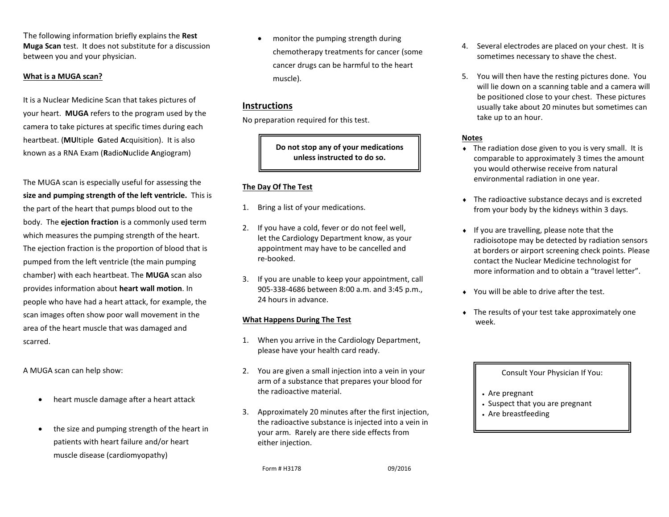The following information briefly explains the **Rest Muga Scan** test. It does not substitute for a discussion between you and your physician.

#### **What is a MUGA scan?**

It is a Nuclear Medicine Scan that takes pictures of your heart. **MUGA** refers to the program used by the camera to take pictures at specific times during each heartbeat. (**MU**ltiple **G**ated **A**cquisition). It is also known as a RNA Exam (**R**adio**N**uclide **A**ngiogram)

The MUGA scan is especially useful for assessing the **size and pumping strength of the left ventricle.** This is the part of the heart that pumps blood out to the body. The **ejection fraction** is a commonly used term which measures the pumping strength of the heart. The ejection fraction is the proportion of blood that is pumped from the left ventricle (the main pumping chamber) with each heartbeat. The **MUGA** scan also provides information about **heart wall motion**. In people who have had a heart attack, for example, the scan images often show poor wall movement in the area of the heart muscle that was damaged and scarred.

A MUGA scan can help show:

- heart muscle damage after a heart attack
- the size and pumping strength of the heart in patients with heart failure and/or heart muscle disease (cardiomyopathy)

 monitor the pumping strength during chemotherapy treatments for cancer (some cancer drugs can be harmful to the heart muscle).

## **Instructions**

No preparation required for this test.

**Do not stop any of your medications unless instructed to do so.**

### **The Day Of The Test**

- 1. Bring a list of your medications.
- 2. If you have a cold, fever or do not feel well, let the Cardiology Department know, as your appointment may have to be cancelled and re-booked.
- 3. If you are unable to keep your appointment, call 905-338-4686 between 8:00 a.m. and 3:45 p.m., 24 hours in advance.

### **What Happens During The Test**

- 1. When you arrive in the Cardiology Department, please have your health card ready.
- 2. You are given a small injection into a vein in your arm of a substance that prepares your blood for the radioactive material.
- 3. Approximately 20 minutes after the first injection, the radioactive substance is injected into a vein in your arm. Rarely are there side effects from either injection.

Form # H3178 09/2016

- 4. Several electrodes are placed on your chest. It is sometimes necessary to shave the chest.
- 5. You will then have the resting pictures done. You will lie down on a scanning table and a camera will be positioned close to your chest. These pictures usually take about 20 minutes but sometimes can take up to an hour.

#### **Notes**

- The radiation dose given to you is very small. It is comparable to approximately 3 times the amount you would otherwise receive from natural environmental radiation in one year.
- The radioactive substance decays and is excreted from your body by the kidneys within 3 days.
- $\bullet$  If you are travelling, please note that the radioisotope may be detected by radiation sensors at borders or airport screening check points. Please contact the Nuclear Medicine technologist for more information and to obtain a "travel letter".
- You will be able to drive after the test.
- The results of your test take approximately one week.

#### Consult Your Physician If You:

- Are pregnant
- Suspect that you are pregnant
- Are breastfeeding